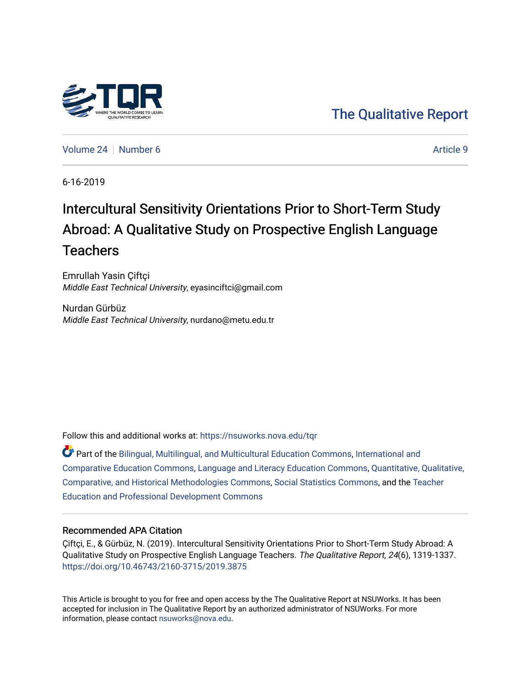

[The Qualitative Report](https://nsuworks.nova.edu/tqr) 

[Volume 24](https://nsuworks.nova.edu/tqr/vol24) [Number 6](https://nsuworks.nova.edu/tqr/vol24/iss6) Article 9

6-16-2019

# Intercultural Sensitivity Orientations Prior to Short-Term Study Abroad: A Qualitative Study on Prospective English Language **Teachers**

Emrullah Yasin Çiftçi Middle East Technical University, eyasinciftci@gmail.com

Nurdan Gürbüz Middle East Technical University, nurdano@metu.edu.tr

Follow this and additional works at: [https://nsuworks.nova.edu/tqr](https://nsuworks.nova.edu/tqr?utm_source=nsuworks.nova.edu%2Ftqr%2Fvol24%2Fiss6%2F9&utm_medium=PDF&utm_campaign=PDFCoverPages) 

Part of the [Bilingual, Multilingual, and Multicultural Education Commons,](http://network.bepress.com/hgg/discipline/785?utm_source=nsuworks.nova.edu%2Ftqr%2Fvol24%2Fiss6%2F9&utm_medium=PDF&utm_campaign=PDFCoverPages) [International and](http://network.bepress.com/hgg/discipline/797?utm_source=nsuworks.nova.edu%2Ftqr%2Fvol24%2Fiss6%2F9&utm_medium=PDF&utm_campaign=PDFCoverPages) [Comparative Education Commons,](http://network.bepress.com/hgg/discipline/797?utm_source=nsuworks.nova.edu%2Ftqr%2Fvol24%2Fiss6%2F9&utm_medium=PDF&utm_campaign=PDFCoverPages) [Language and Literacy Education Commons,](http://network.bepress.com/hgg/discipline/1380?utm_source=nsuworks.nova.edu%2Ftqr%2Fvol24%2Fiss6%2F9&utm_medium=PDF&utm_campaign=PDFCoverPages) [Quantitative, Qualitative,](http://network.bepress.com/hgg/discipline/423?utm_source=nsuworks.nova.edu%2Ftqr%2Fvol24%2Fiss6%2F9&utm_medium=PDF&utm_campaign=PDFCoverPages)  [Comparative, and Historical Methodologies Commons,](http://network.bepress.com/hgg/discipline/423?utm_source=nsuworks.nova.edu%2Ftqr%2Fvol24%2Fiss6%2F9&utm_medium=PDF&utm_campaign=PDFCoverPages) [Social Statistics Commons](http://network.bepress.com/hgg/discipline/1275?utm_source=nsuworks.nova.edu%2Ftqr%2Fvol24%2Fiss6%2F9&utm_medium=PDF&utm_campaign=PDFCoverPages), and the [Teacher](http://network.bepress.com/hgg/discipline/803?utm_source=nsuworks.nova.edu%2Ftqr%2Fvol24%2Fiss6%2F9&utm_medium=PDF&utm_campaign=PDFCoverPages)  [Education and Professional Development Commons](http://network.bepress.com/hgg/discipline/803?utm_source=nsuworks.nova.edu%2Ftqr%2Fvol24%2Fiss6%2F9&utm_medium=PDF&utm_campaign=PDFCoverPages)

## Recommended APA Citation

Çiftçi, E., & Gürbüz, N. (2019). Intercultural Sensitivity Orientations Prior to Short-Term Study Abroad: A Qualitative Study on Prospective English Language Teachers. The Qualitative Report, 24(6), 1319-1337. <https://doi.org/10.46743/2160-3715/2019.3875>

This Article is brought to you for free and open access by the The Qualitative Report at NSUWorks. It has been accepted for inclusion in The Qualitative Report by an authorized administrator of NSUWorks. For more information, please contact [nsuworks@nova.edu.](mailto:nsuworks@nova.edu)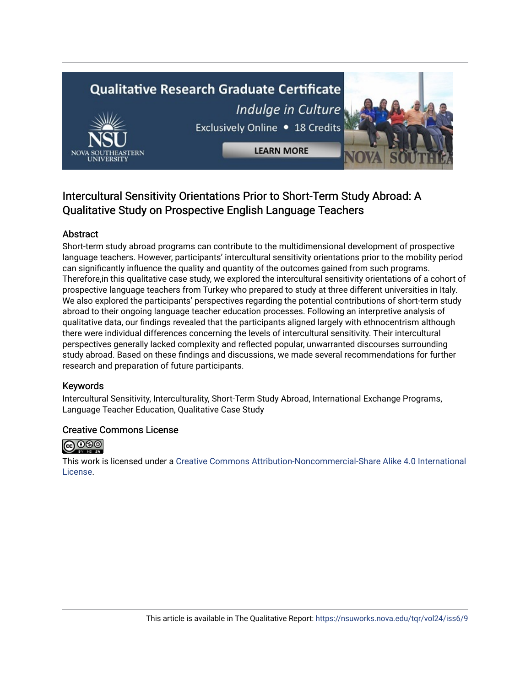# **Qualitative Research Graduate Certificate** Indulge in Culture



Exclusively Online . 18 Credits

**LEARN MORE** 

# Intercultural Sensitivity Orientations Prior to Short-Term Study Abroad: A Qualitative Study on Prospective English Language Teachers

# Abstract

Short-term study abroad programs can contribute to the multidimensional development of prospective language teachers. However, participants' intercultural sensitivity orientations prior to the mobility period can significantly influence the quality and quantity of the outcomes gained from such programs. Therefore,in this qualitative case study, we explored the intercultural sensitivity orientations of a cohort of prospective language teachers from Turkey who prepared to study at three different universities in Italy. We also explored the participants' perspectives regarding the potential contributions of short-term study abroad to their ongoing language teacher education processes. Following an interpretive analysis of qualitative data, our findings revealed that the participants aligned largely with ethnocentrism although there were individual differences concerning the levels of intercultural sensitivity. Their intercultural perspectives generally lacked complexity and reflected popular, unwarranted discourses surrounding study abroad. Based on these findings and discussions, we made several recommendations for further research and preparation of future participants.

# Keywords

Intercultural Sensitivity, Interculturality, Short-Term Study Abroad, International Exchange Programs, Language Teacher Education, Qualitative Case Study

# Creative Commons License



This work is licensed under a [Creative Commons Attribution-Noncommercial-Share Alike 4.0 International](https://creativecommons.org/licenses/by-nc-sa/4.0/)  [License](https://creativecommons.org/licenses/by-nc-sa/4.0/).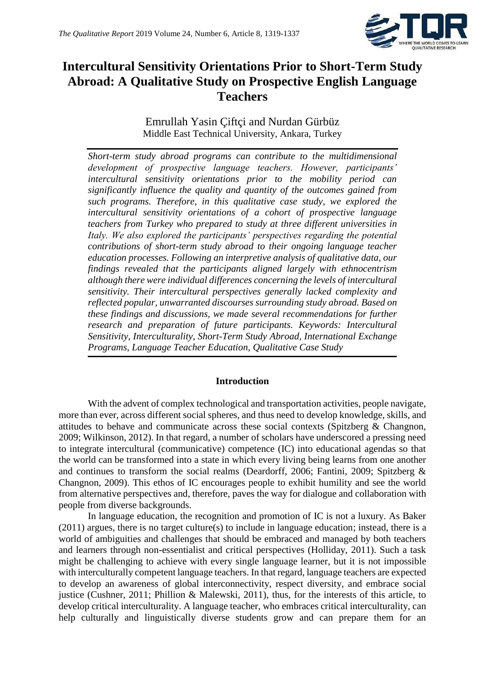

# **Intercultural Sensitivity Orientations Prior to Short-Term Study Abroad: A Qualitative Study on Prospective English Language Teachers**

Emrullah Yasin Çiftçi and Nurdan Gürbüz Middle East Technical University, Ankara, Turkey

*Short-term study abroad programs can contribute to the multidimensional development of prospective language teachers. However, participants' intercultural sensitivity orientations prior to the mobility period can significantly influence the quality and quantity of the outcomes gained from such programs. Therefore, in this qualitative case study, we explored the intercultural sensitivity orientations of a cohort of prospective language teachers from Turkey who prepared to study at three different universities in Italy. We also explored the participants' perspectives regarding the potential contributions of short-term study abroad to their ongoing language teacher education processes. Following an interpretive analysis of qualitative data, our findings revealed that the participants aligned largely with ethnocentrism although there were individual differences concerning the levels of intercultural sensitivity. Their intercultural perspectives generally lacked complexity and reflected popular, unwarranted discourses surrounding study abroad. Based on these findings and discussions, we made several recommendations for further research and preparation of future participants. Keywords: Intercultural Sensitivity, Interculturality, Short-Term Study Abroad, International Exchange Programs, Language Teacher Education, Qualitative Case Study*

## **Introduction**

With the advent of complex technological and transportation activities, people navigate, more than ever, across different social spheres, and thus need to develop knowledge, skills, and attitudes to behave and communicate across these social contexts (Spitzberg & Changnon, 2009; Wilkinson, 2012). In that regard, a number of scholars have underscored a pressing need to integrate intercultural (communicative) competence (IC) into educational agendas so that the world can be transformed into a state in which every living being learns from one another and continues to transform the social realms (Deardorff, 2006; Fantini, 2009; Spitzberg & Changnon, 2009). This ethos of IC encourages people to exhibit humility and see the world from alternative perspectives and, therefore, paves the way for dialogue and collaboration with people from diverse backgrounds.

In language education, the recognition and promotion of IC is not a luxury. As Baker (2011) argues, there is no target culture(s) to include in language education; instead, there is a world of ambiguities and challenges that should be embraced and managed by both teachers and learners through non-essentialist and critical perspectives (Holliday, 2011). Such a task might be challenging to achieve with every single language learner, but it is not impossible with interculturally competent language teachers. In that regard, language teachers are expected to develop an awareness of global interconnectivity, respect diversity, and embrace social justice (Cushner, 2011; Phillion & Malewski, 2011), thus, for the interests of this article, to develop critical interculturality. A language teacher, who embraces critical interculturality, can help culturally and linguistically diverse students grow and can prepare them for an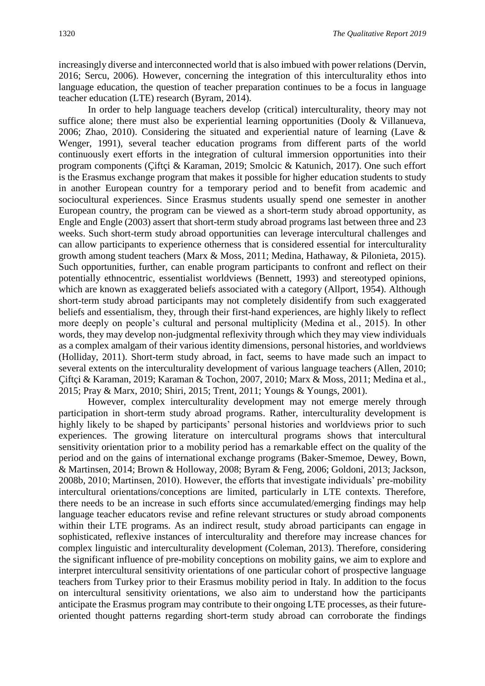increasingly diverse and interconnected world that is also imbued with power relations (Dervin, 2016; Sercu, 2006). However, concerning the integration of this interculturality ethos into language education, the question of teacher preparation continues to be a focus in language teacher education (LTE) research (Byram, 2014).

In order to help language teachers develop (critical) interculturality, theory may not suffice alone; there must also be experiential learning opportunities (Dooly & Villanueva, 2006; Zhao, 2010). Considering the situated and experiential nature of learning (Lave & Wenger, 1991), several teacher education programs from different parts of the world continuously exert efforts in the integration of cultural immersion opportunities into their program components (Çiftçi & Karaman, 2019; Smolcic & Katunich, 2017). One such effort is the Erasmus exchange program that makes it possible for higher education students to study in another European country for a temporary period and to benefit from academic and sociocultural experiences. Since Erasmus students usually spend one semester in another European country, the program can be viewed as a short-term study abroad opportunity, as Engle and Engle (2003) assert that short-term study abroad programs last between three and 23 weeks. Such short-term study abroad opportunities can leverage intercultural challenges and can allow participants to experience otherness that is considered essential for interculturality growth among student teachers (Marx & Moss, 2011; Medina, Hathaway, & Pilonieta, 2015). Such opportunities, further, can enable program participants to confront and reflect on their potentially ethnocentric, essentialist worldviews (Bennett, 1993) and stereotyped opinions, which are known as exaggerated beliefs associated with a category (Allport, 1954). Although short-term study abroad participants may not completely disidentify from such exaggerated beliefs and essentialism, they, through their first-hand experiences, are highly likely to reflect more deeply on people's cultural and personal multiplicity (Medina et al., 2015). In other words, they may develop non-judgmental reflexivity through which they may view individuals as a complex amalgam of their various identity dimensions, personal histories, and worldviews (Holliday, 2011). Short-term study abroad, in fact, seems to have made such an impact to several extents on the interculturality development of various language teachers (Allen, 2010; Çiftçi & Karaman, 2019; Karaman & Tochon, 2007, 2010; Marx & Moss, 2011; Medina et al., 2015; Pray & Marx, 2010; Shiri, 2015; Trent, 2011; Youngs & Youngs, 2001).

However, complex interculturality development may not emerge merely through participation in short-term study abroad programs. Rather, interculturality development is highly likely to be shaped by participants' personal histories and worldviews prior to such experiences. The growing literature on intercultural programs shows that intercultural sensitivity orientation prior to a mobility period has a remarkable effect on the quality of the period and on the gains of international exchange programs (Baker-Smemoe, Dewey, Bown, & Martinsen, 2014; Brown & Holloway, 2008; Byram & Feng, 2006; Goldoni, 2013; Jackson, 2008b, 2010; Martinsen, 2010). However, the efforts that investigate individuals' pre-mobility intercultural orientations/conceptions are limited, particularly in LTE contexts. Therefore, there needs to be an increase in such efforts since accumulated/emerging findings may help language teacher educators revise and refine relevant structures or study abroad components within their LTE programs. As an indirect result, study abroad participants can engage in sophisticated, reflexive instances of interculturality and therefore may increase chances for complex linguistic and interculturality development (Coleman, 2013). Therefore, considering the significant influence of pre-mobility conceptions on mobility gains, we aim to explore and interpret intercultural sensitivity orientations of one particular cohort of prospective language teachers from Turkey prior to their Erasmus mobility period in Italy. In addition to the focus on intercultural sensitivity orientations, we also aim to understand how the participants anticipate the Erasmus program may contribute to their ongoing LTE processes, as their futureoriented thought patterns regarding short-term study abroad can corroborate the findings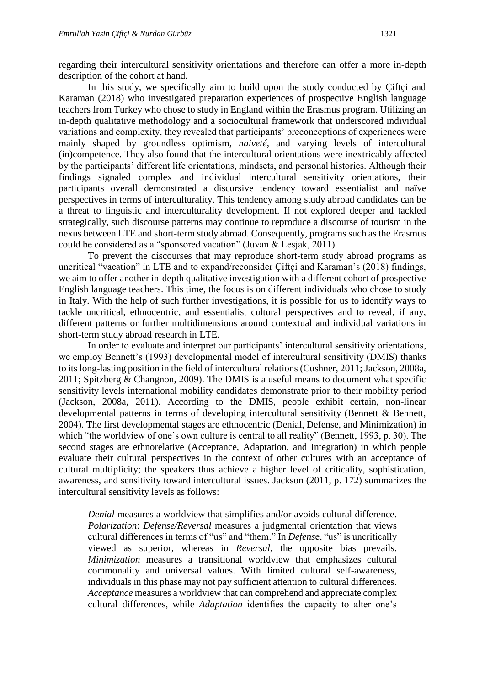regarding their intercultural sensitivity orientations and therefore can offer a more in-depth description of the cohort at hand.

In this study, we specifically aim to build upon the study conducted by Çiftçi and Karaman (2018) who investigated preparation experiences of prospective English language teachers from Turkey who chose to study in England within the Erasmus program. Utilizing an in-depth qualitative methodology and a sociocultural framework that underscored individual variations and complexity, they revealed that participants' preconceptions of experiences were mainly shaped by groundless optimism, *naiveté*, and varying levels of intercultural (in)competence. They also found that the intercultural orientations were inextricably affected by the participants' different life orientations, mindsets, and personal histories. Although their findings signaled complex and individual intercultural sensitivity orientations, their participants overall demonstrated a discursive tendency toward essentialist and naïve perspectives in terms of interculturality. This tendency among study abroad candidates can be a threat to linguistic and interculturality development. If not explored deeper and tackled strategically, such discourse patterns may continue to reproduce a discourse of tourism in the nexus between LTE and short-term study abroad. Consequently, programs such as the Erasmus could be considered as a "sponsored vacation" (Juvan & Lesjak, 2011).

To prevent the discourses that may reproduce short-term study abroad programs as uncritical "vacation" in LTE and to expand/reconsider Çiftçi and Karaman's (2018) findings, we aim to offer another in-depth qualitative investigation with a different cohort of prospective English language teachers. This time, the focus is on different individuals who chose to study in Italy. With the help of such further investigations, it is possible for us to identify ways to tackle uncritical, ethnocentric, and essentialist cultural perspectives and to reveal, if any, different patterns or further multidimensions around contextual and individual variations in short-term study abroad research in LTE.

In order to evaluate and interpret our participants' intercultural sensitivity orientations, we employ Bennett's (1993) developmental model of intercultural sensitivity (DMIS) thanks to its long-lasting position in the field of intercultural relations (Cushner, 2011; Jackson, 2008a, 2011; Spitzberg & Changnon, 2009). The DMIS is a useful means to document what specific sensitivity levels international mobility candidates demonstrate prior to their mobility period (Jackson, 2008a, 2011). According to the DMIS, people exhibit certain, non-linear developmental patterns in terms of developing intercultural sensitivity (Bennett & Bennett, 2004). The first developmental stages are ethnocentric (Denial, Defense, and Minimization) in which "the worldview of one's own culture is central to all reality" (Bennett, 1993, p. 30). The second stages are ethnorelative (Acceptance, Adaptation, and Integration) in which people evaluate their cultural perspectives in the context of other cultures with an acceptance of cultural multiplicity; the speakers thus achieve a higher level of criticality, sophistication, awareness, and sensitivity toward intercultural issues. Jackson (2011, p. 172) summarizes the intercultural sensitivity levels as follows:

*Denial* measures a worldview that simplifies and/or avoids cultural difference. *Polarization*: *Defense/Reversal* measures a judgmental orientation that views cultural differences in terms of "us" and "them." In *Defens*e, "us" is uncritically viewed as superior, whereas in *Reversal*, the opposite bias prevails. *Minimization* measures a transitional worldview that emphasizes cultural commonality and universal values. With limited cultural self-awareness, individuals in this phase may not pay sufficient attention to cultural differences. *Acceptance* measures a worldview that can comprehend and appreciate complex cultural differences, while *Adaptation* identifies the capacity to alter one's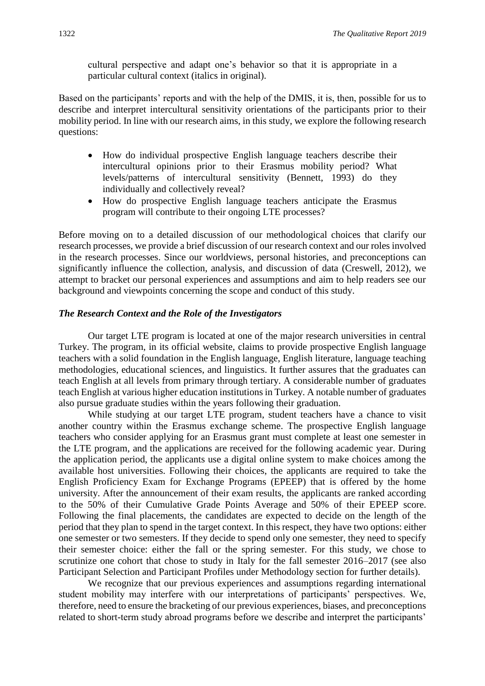cultural perspective and adapt one's behavior so that it is appropriate in a particular cultural context (italics in original).

Based on the participants' reports and with the help of the DMIS, it is, then, possible for us to describe and interpret intercultural sensitivity orientations of the participants prior to their mobility period. In line with our research aims, in this study, we explore the following research questions:

- How do individual prospective English language teachers describe their intercultural opinions prior to their Erasmus mobility period? What levels/patterns of intercultural sensitivity (Bennett, 1993) do they individually and collectively reveal?
- How do prospective English language teachers anticipate the Erasmus program will contribute to their ongoing LTE processes?

Before moving on to a detailed discussion of our methodological choices that clarify our research processes, we provide a brief discussion of our research context and our roles involved in the research processes. Since our worldviews, personal histories, and preconceptions can significantly influence the collection, analysis, and discussion of data (Creswell, 2012), we attempt to bracket our personal experiences and assumptions and aim to help readers see our background and viewpoints concerning the scope and conduct of this study.

#### *The Research Context and the Role of the Investigators*

Our target LTE program is located at one of the major research universities in central Turkey. The program, in its official website, claims to provide prospective English language teachers with a solid foundation in the English language, English literature, language teaching methodologies, educational sciences, and linguistics. It further assures that the graduates can teach English at all levels from primary through tertiary. A considerable number of graduates teach English at various higher education institutions in Turkey. A notable number of graduates also pursue graduate studies within the years following their graduation.

While studying at our target LTE program, student teachers have a chance to visit another country within the Erasmus exchange scheme. The prospective English language teachers who consider applying for an Erasmus grant must complete at least one semester in the LTE program, and the applications are received for the following academic year. During the application period, the applicants use a digital online system to make choices among the available host universities. Following their choices, the applicants are required to take the English Proficiency Exam for Exchange Programs (EPEEP) that is offered by the home university. After the announcement of their exam results, the applicants are ranked according to the 50% of their Cumulative Grade Points Average and 50% of their EPEEP score. Following the final placements, the candidates are expected to decide on the length of the period that they plan to spend in the target context. In this respect, they have two options: either one semester or two semesters. If they decide to spend only one semester, they need to specify their semester choice: either the fall or the spring semester. For this study, we chose to scrutinize one cohort that chose to study in Italy for the fall semester 2016–2017 (see also Participant Selection and Participant Profiles under Methodology section for further details).

We recognize that our previous experiences and assumptions regarding international student mobility may interfere with our interpretations of participants' perspectives. We, therefore, need to ensure the bracketing of our previous experiences, biases, and preconceptions related to short-term study abroad programs before we describe and interpret the participants'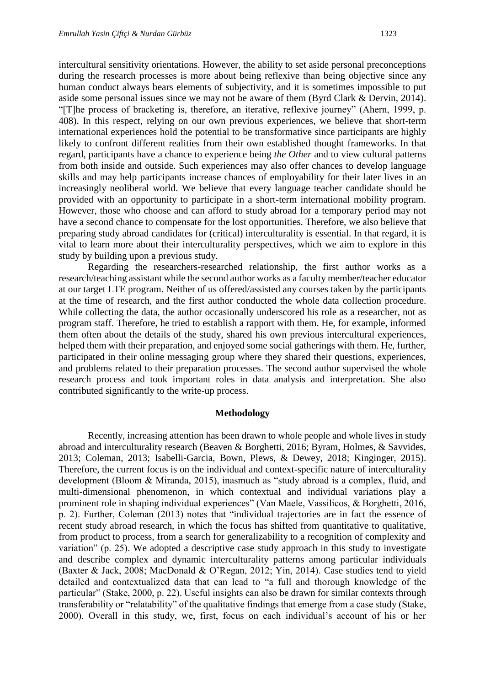intercultural sensitivity orientations. However, the ability to set aside personal preconceptions during the research processes is more about being reflexive than being objective since any human conduct always bears elements of subjectivity, and it is sometimes impossible to put aside some personal issues since we may not be aware of them (Byrd Clark & Dervin, 2014). "[T]he process of bracketing is, therefore, an iterative, reflexive journey" (Ahern, 1999, p. 408). In this respect, relying on our own previous experiences, we believe that short-term international experiences hold the potential to be transformative since participants are highly likely to confront different realities from their own established thought frameworks. In that regard, participants have a chance to experience being *the Other* and to view cultural patterns from both inside and outside. Such experiences may also offer chances to develop language skills and may help participants increase chances of employability for their later lives in an increasingly neoliberal world. We believe that every language teacher candidate should be provided with an opportunity to participate in a short-term international mobility program. However, those who choose and can afford to study abroad for a temporary period may not have a second chance to compensate for the lost opportunities. Therefore, we also believe that preparing study abroad candidates for (critical) interculturality is essential. In that regard, it is vital to learn more about their interculturality perspectives, which we aim to explore in this study by building upon a previous study.

Regarding the researchers-researched relationship, the first author works as a research/teaching assistant while the second author works as a faculty member/teacher educator at our target LTE program. Neither of us offered/assisted any courses taken by the participants at the time of research, and the first author conducted the whole data collection procedure. While collecting the data, the author occasionally underscored his role as a researcher, not as program staff. Therefore, he tried to establish a rapport with them. He, for example, informed them often about the details of the study, shared his own previous intercultural experiences, helped them with their preparation, and enjoyed some social gatherings with them. He, further, participated in their online messaging group where they shared their questions, experiences, and problems related to their preparation processes. The second author supervised the whole research process and took important roles in data analysis and interpretation. She also contributed significantly to the write-up process.

#### **Methodology**

Recently, increasing attention has been drawn to whole people and whole lives in study abroad and interculturality research (Beaven & Borghetti, 2016; Byram, Holmes, & Savvides, 2013; Coleman, 2013; Isabelli-Garcia, Bown, Plews, & Dewey, 2018; Kinginger, 2015). Therefore, the current focus is on the individual and context-specific nature of interculturality development (Bloom & Miranda, 2015), inasmuch as "study abroad is a complex, fluid, and multi-dimensional phenomenon, in which contextual and individual variations play a prominent role in shaping individual experiences" (Van Maele, Vassilicos, & Borghetti, 2016, p. 2). Further, Coleman (2013) notes that "individual trajectories are in fact the essence of recent study abroad research, in which the focus has shifted from quantitative to qualitative, from product to process, from a search for generalizability to a recognition of complexity and variation" (p. 25). We adopted a descriptive case study approach in this study to investigate and describe complex and dynamic interculturality patterns among particular individuals (Baxter & Jack, 2008; MacDonald & O'Regan, 2012; Yin, 2014). Case studies tend to yield detailed and contextualized data that can lead to "a full and thorough knowledge of the particular" (Stake, 2000, p. 22). Useful insights can also be drawn for similar contexts through transferability or "relatability" of the qualitative findings that emerge from a case study (Stake, 2000). Overall in this study, we, first, focus on each individual's account of his or her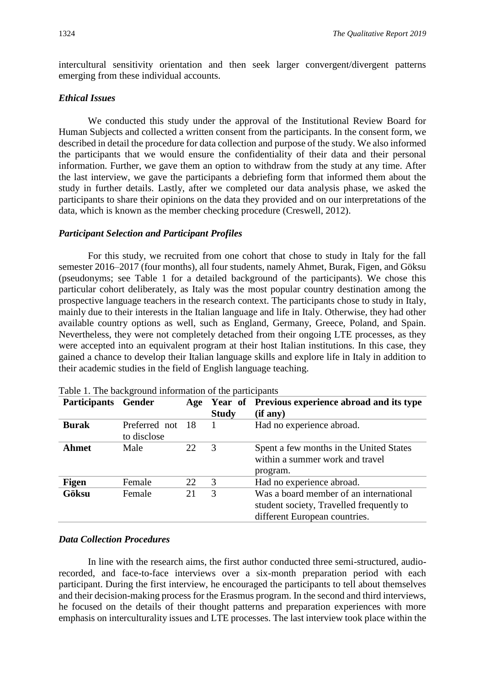intercultural sensitivity orientation and then seek larger convergent/divergent patterns emerging from these individual accounts.

#### *Ethical Issues*

We conducted this study under the approval of the Institutional Review Board for Human Subjects and collected a written consent from the participants. In the consent form, we described in detail the procedure for data collection and purpose of the study. We also informed the participants that we would ensure the confidentiality of their data and their personal information. Further, we gave them an option to withdraw from the study at any time. After the last interview, we gave the participants a debriefing form that informed them about the study in further details. Lastly, after we completed our data analysis phase, we asked the participants to share their opinions on the data they provided and on our interpretations of the data, which is known as the member checking procedure (Creswell, 2012).

#### *Participant Selection and Participant Profiles*

For this study, we recruited from one cohort that chose to study in Italy for the fall semester 2016–2017 (four months), all four students, namely Ahmet, Burak, Figen, and Göksu (pseudonyms; see Table 1 for a detailed background of the participants). We chose this particular cohort deliberately, as Italy was the most popular country destination among the prospective language teachers in the research context. The participants chose to study in Italy, mainly due to their interests in the Italian language and life in Italy. Otherwise, they had other available country options as well, such as England, Germany, Greece, Poland, and Spain. Nevertheless, they were not completely detached from their ongoing LTE processes, as they were accepted into an equivalent program at their host Italian institutions. In this case, they gained a chance to develop their Italian language skills and explore life in Italy in addition to their academic studies in the field of English language teaching.

| <b>Participants</b> | Gender                       | Age | <b>Study</b>  | Year of Previous experience abroad and its type<br>(if any)                                                         |
|---------------------|------------------------------|-----|---------------|---------------------------------------------------------------------------------------------------------------------|
| <b>Burak</b>        | Preferred not<br>to disclose | -18 |               | Had no experience abroad.                                                                                           |
| <b>Ahmet</b>        | Male                         | 22  | 3             | Spent a few months in the United States<br>within a summer work and travel<br>program.                              |
| Figen               | Female                       | 22  | $\mathcal{R}$ | Had no experience abroad.                                                                                           |
| Göksu               | Female                       | 21  | 3             | Was a board member of an international<br>student society, Travelled frequently to<br>different European countries. |

Table 1. The background information of the participants

#### *Data Collection Procedures*

In line with the research aims, the first author conducted three semi-structured, audiorecorded, and face-to-face interviews over a six-month preparation period with each participant. During the first interview, he encouraged the participants to tell about themselves and their decision-making process for the Erasmus program. In the second and third interviews, he focused on the details of their thought patterns and preparation experiences with more emphasis on interculturality issues and LTE processes. The last interview took place within the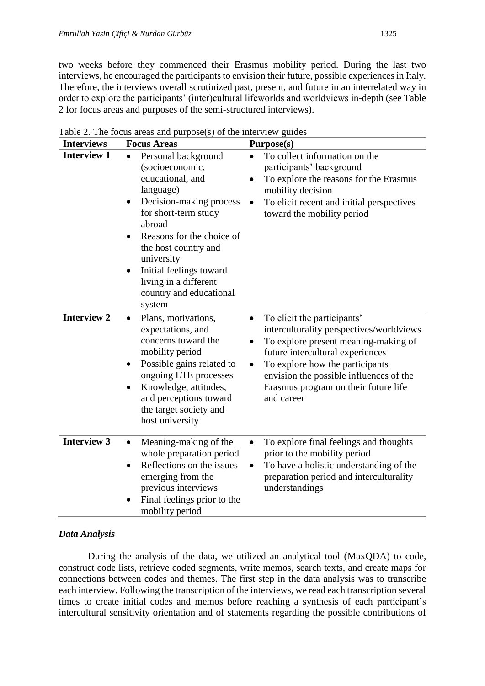two weeks before they commenced their Erasmus mobility period. During the last two interviews, he encouraged the participants to envision their future, possible experiences in Italy. Therefore, the interviews overall scrutinized past, present, and future in an interrelated way in order to explore the participants' (inter)cultural lifeworlds and worldviews in-depth (see Table 2 for focus areas and purposes of the semi-structured interviews).

| <b>Interviews</b>  | <b>Focus Areas</b>                                                                                                                                                                                                                                                                                                 | Purpose(s)                                                                                                                                                                                                                                                                                                        |
|--------------------|--------------------------------------------------------------------------------------------------------------------------------------------------------------------------------------------------------------------------------------------------------------------------------------------------------------------|-------------------------------------------------------------------------------------------------------------------------------------------------------------------------------------------------------------------------------------------------------------------------------------------------------------------|
| <b>Interview 1</b> | Personal background<br>$\bullet$<br>(socioeconomic,<br>educational, and<br>language)<br>Decision-making process<br>٠<br>for short-term study<br>abroad<br>Reasons for the choice of<br>the host country and<br>university<br>Initial feelings toward<br>living in a different<br>country and educational<br>system | To collect information on the<br>participants' background<br>To explore the reasons for the Erasmus<br>mobility decision<br>To elicit recent and initial perspectives<br>toward the mobility period                                                                                                               |
| <b>Interview 2</b> | Plans, motivations,<br>expectations, and<br>concerns toward the<br>mobility period<br>Possible gains related to<br>ongoing LTE processes<br>Knowledge, attitudes,<br>and perceptions toward<br>the target society and<br>host university                                                                           | To elicit the participants'<br>$\bullet$<br>interculturality perspectives/worldviews<br>To explore present meaning-making of<br>future intercultural experiences<br>To explore how the participants<br>$\bullet$<br>envision the possible influences of the<br>Erasmus program on their future life<br>and career |
| <b>Interview 3</b> | Meaning-making of the<br>whole preparation period<br>Reflections on the issues<br>$\bullet$<br>emerging from the<br>previous interviews<br>Final feelings prior to the<br>mobility period                                                                                                                          | To explore final feelings and thoughts<br>prior to the mobility period<br>To have a holistic understanding of the<br>preparation period and interculturality<br>understandings                                                                                                                                    |

Table 2. The focus areas and purpose(s) of the interview guides

## *Data Analysis*

During the analysis of the data, we utilized an analytical tool (MaxQDA) to code, construct code lists, retrieve coded segments, write memos, search texts, and create maps for connections between codes and themes. The first step in the data analysis was to transcribe each interview. Following the transcription of the interviews, we read each transcription several times to create initial codes and memos before reaching a synthesis of each participant's intercultural sensitivity orientation and of statements regarding the possible contributions of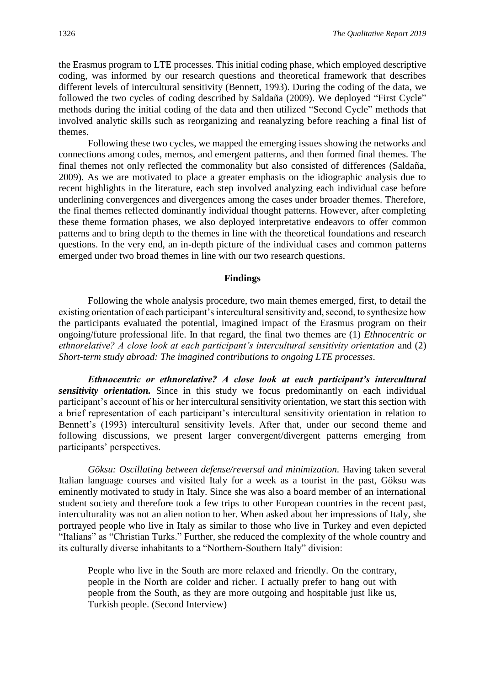the Erasmus program to LTE processes. This initial coding phase, which employed descriptive coding, was informed by our research questions and theoretical framework that describes different levels of intercultural sensitivity (Bennett, 1993). During the coding of the data, we followed the two cycles of coding described by Saldaña (2009). We deployed "First Cycle" methods during the initial coding of the data and then utilized "Second Cycle" methods that involved analytic skills such as reorganizing and reanalyzing before reaching a final list of themes.

Following these two cycles, we mapped the emerging issues showing the networks and connections among codes, memos, and emergent patterns, and then formed final themes. The final themes not only reflected the commonality but also consisted of differences (Saldaña, 2009). As we are motivated to place a greater emphasis on the idiographic analysis due to recent highlights in the literature, each step involved analyzing each individual case before underlining convergences and divergences among the cases under broader themes. Therefore, the final themes reflected dominantly individual thought patterns. However, after completing these theme formation phases, we also deployed interpretative endeavors to offer common patterns and to bring depth to the themes in line with the theoretical foundations and research questions. In the very end, an in-depth picture of the individual cases and common patterns emerged under two broad themes in line with our two research questions.

#### **Findings**

Following the whole analysis procedure, two main themes emerged, first, to detail the existing orientation of each participant's intercultural sensitivity and, second, to synthesize how the participants evaluated the potential, imagined impact of the Erasmus program on their ongoing/future professional life. In that regard, the final two themes are (1) *Ethnocentric or ethnorelative? A close look at each participant's intercultural sensitivity orientation* and (2) *Short-term study abroad: The imagined contributions to ongoing LTE processes*.

*Ethnocentric or ethnorelative? A close look at each participant's intercultural sensitivity orientation.* Since in this study we focus predominantly on each individual participant's account of his or her intercultural sensitivity orientation, we start this section with a brief representation of each participant's intercultural sensitivity orientation in relation to Bennett's (1993) intercultural sensitivity levels. After that, under our second theme and following discussions, we present larger convergent/divergent patterns emerging from participants' perspectives.

*Göksu: Oscillating between defense/reversal and minimization. Having taken several* Italian language courses and visited Italy for a week as a tourist in the past, Göksu was eminently motivated to study in Italy. Since she was also a board member of an international student society and therefore took a few trips to other European countries in the recent past, interculturality was not an alien notion to her. When asked about her impressions of Italy, she portrayed people who live in Italy as similar to those who live in Turkey and even depicted "Italians" as "Christian Turks." Further, she reduced the complexity of the whole country and its culturally diverse inhabitants to a "Northern-Southern Italy" division:

People who live in the South are more relaxed and friendly. On the contrary, people in the North are colder and richer. I actually prefer to hang out with people from the South, as they are more outgoing and hospitable just like us, Turkish people. (Second Interview)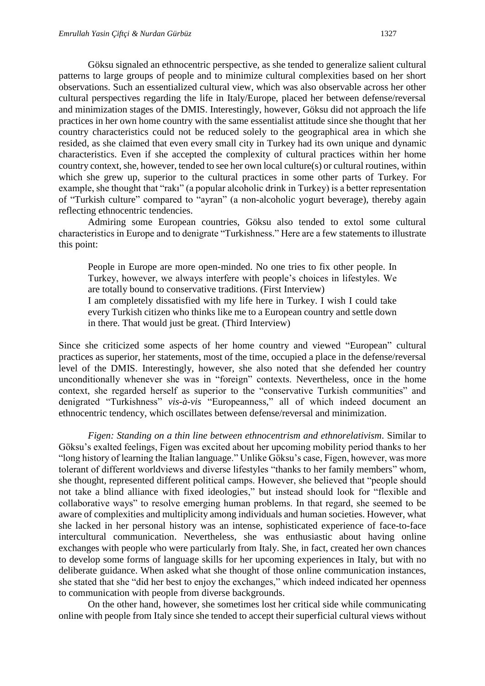Göksu signaled an ethnocentric perspective, as she tended to generalize salient cultural patterns to large groups of people and to minimize cultural complexities based on her short observations. Such an essentialized cultural view, which was also observable across her other cultural perspectives regarding the life in Italy/Europe, placed her between defense/reversal and minimization stages of the DMIS. Interestingly, however, Göksu did not approach the life practices in her own home country with the same essentialist attitude since she thought that her country characteristics could not be reduced solely to the geographical area in which she resided, as she claimed that even every small city in Turkey had its own unique and dynamic characteristics. Even if she accepted the complexity of cultural practices within her home country context, she, however, tended to see her own local culture(s) or cultural routines, within which she grew up, superior to the cultural practices in some other parts of Turkey. For example, she thought that "rakı" (a popular alcoholic drink in Turkey) is a better representation of "Turkish culture" compared to "ayran" (a non-alcoholic yogurt beverage), thereby again reflecting ethnocentric tendencies.

Admiring some European countries, Göksu also tended to extol some cultural characteristics in Europe and to denigrate "Turkishness." Here are a few statements to illustrate this point:

People in Europe are more open-minded. No one tries to fix other people. In Turkey, however, we always interfere with people's choices in lifestyles. We are totally bound to conservative traditions. (First Interview) I am completely dissatisfied with my life here in Turkey. I wish I could take every Turkish citizen who thinks like me to a European country and settle down in there. That would just be great. (Third Interview)

Since she criticized some aspects of her home country and viewed "European" cultural practices as superior, her statements, most of the time, occupied a place in the defense/reversal level of the DMIS. Interestingly, however, she also noted that she defended her country unconditionally whenever she was in "foreign" contexts. Nevertheless, once in the home context, she regarded herself as superior to the "conservative Turkish communities" and denigrated "Turkishness" *vis-à-vis* "Europeanness," all of which indeed document an ethnocentric tendency, which oscillates between defense/reversal and minimization.

*Figen: Standing on a thin line between ethnocentrism and ethnorelativism.* Similar to Göksu's exalted feelings, Figen was excited about her upcoming mobility period thanks to her "long history of learning the Italian language." Unlike Göksu's case, Figen, however, was more tolerant of different worldviews and diverse lifestyles "thanks to her family members" whom, she thought, represented different political camps. However, she believed that "people should not take a blind alliance with fixed ideologies," but instead should look for "flexible and collaborative ways" to resolve emerging human problems. In that regard, she seemed to be aware of complexities and multiplicity among individuals and human societies. However, what she lacked in her personal history was an intense, sophisticated experience of face-to-face intercultural communication. Nevertheless, she was enthusiastic about having online exchanges with people who were particularly from Italy. She, in fact, created her own chances to develop some forms of language skills for her upcoming experiences in Italy, but with no deliberate guidance. When asked what she thought of those online communication instances, she stated that she "did her best to enjoy the exchanges," which indeed indicated her openness to communication with people from diverse backgrounds.

On the other hand, however, she sometimes lost her critical side while communicating online with people from Italy since she tended to accept their superficial cultural views without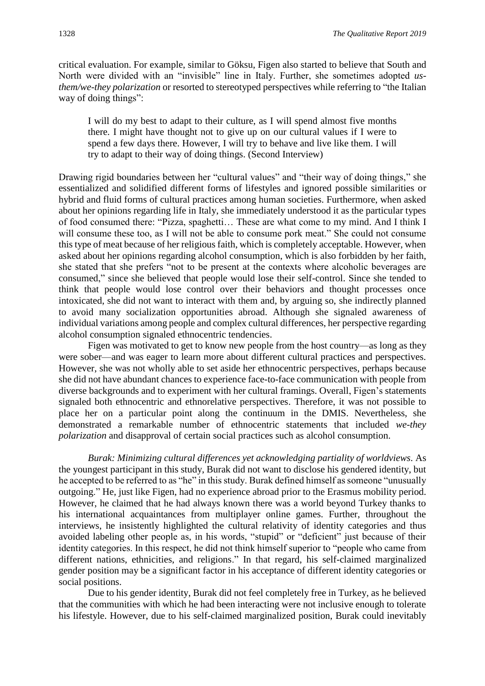critical evaluation. For example, similar to Göksu, Figen also started to believe that South and North were divided with an "invisible" line in Italy. Further, she sometimes adopted *usthem/we-they polarization* or resorted to stereotyped perspectives while referring to "the Italian way of doing things":

I will do my best to adapt to their culture, as I will spend almost five months there. I might have thought not to give up on our cultural values if I were to spend a few days there. However, I will try to behave and live like them. I will try to adapt to their way of doing things. (Second Interview)

Drawing rigid boundaries between her "cultural values" and "their way of doing things," she essentialized and solidified different forms of lifestyles and ignored possible similarities or hybrid and fluid forms of cultural practices among human societies. Furthermore, when asked about her opinions regarding life in Italy, she immediately understood it as the particular types of food consumed there: "Pizza, spaghetti… These are what come to my mind. And I think I will consume these too, as I will not be able to consume pork meat." She could not consume this type of meat because of her religious faith, which is completely acceptable. However, when asked about her opinions regarding alcohol consumption, which is also forbidden by her faith, she stated that she prefers "not to be present at the contexts where alcoholic beverages are consumed," since she believed that people would lose their self-control. Since she tended to think that people would lose control over their behaviors and thought processes once intoxicated, she did not want to interact with them and, by arguing so, she indirectly planned to avoid many socialization opportunities abroad. Although she signaled awareness of individual variations among people and complex cultural differences, her perspective regarding alcohol consumption signaled ethnocentric tendencies.

Figen was motivated to get to know new people from the host country—as long as they were sober—and was eager to learn more about different cultural practices and perspectives. However, she was not wholly able to set aside her ethnocentric perspectives, perhaps because she did not have abundant chances to experience face-to-face communication with people from diverse backgrounds and to experiment with her cultural framings. Overall, Figen's statements signaled both ethnocentric and ethnorelative perspectives. Therefore, it was not possible to place her on a particular point along the continuum in the DMIS. Nevertheless, she demonstrated a remarkable number of ethnocentric statements that included *we-they polarization* and disapproval of certain social practices such as alcohol consumption.

*Burak: Minimizing cultural differences yet acknowledging partiality of worldviews.* As the youngest participant in this study, Burak did not want to disclose his gendered identity, but he accepted to be referred to as "he" in this study. Burak defined himself as someone "unusually outgoing." He, just like Figen, had no experience abroad prior to the Erasmus mobility period. However, he claimed that he had always known there was a world beyond Turkey thanks to his international acquaintances from multiplayer online games. Further, throughout the interviews, he insistently highlighted the cultural relativity of identity categories and thus avoided labeling other people as, in his words, "stupid" or "deficient" just because of their identity categories. In this respect, he did not think himself superior to "people who came from different nations, ethnicities, and religions." In that regard, his self-claimed marginalized gender position may be a significant factor in his acceptance of different identity categories or social positions.

Due to his gender identity, Burak did not feel completely free in Turkey, as he believed that the communities with which he had been interacting were not inclusive enough to tolerate his lifestyle. However, due to his self-claimed marginalized position, Burak could inevitably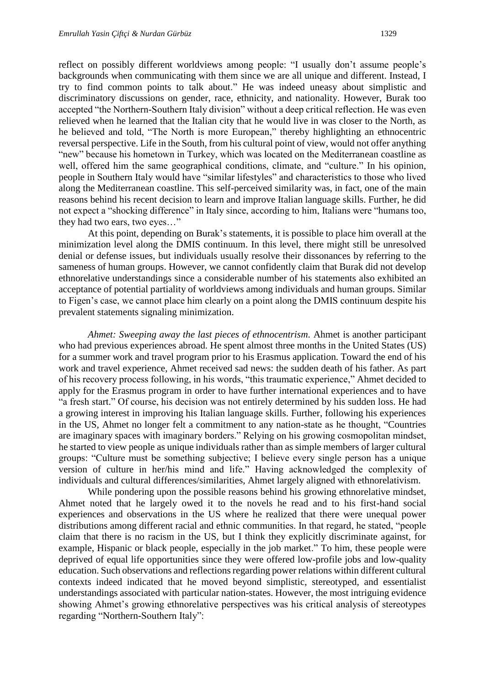reflect on possibly different worldviews among people: "I usually don't assume people's backgrounds when communicating with them since we are all unique and different. Instead, I try to find common points to talk about." He was indeed uneasy about simplistic and discriminatory discussions on gender, race, ethnicity, and nationality. However, Burak too accepted "the Northern-Southern Italy division" without a deep critical reflection. He was even relieved when he learned that the Italian city that he would live in was closer to the North, as he believed and told, "The North is more European," thereby highlighting an ethnocentric reversal perspective. Life in the South, from his cultural point of view, would not offer anything "new" because his hometown in Turkey, which was located on the Mediterranean coastline as well, offered him the same geographical conditions, climate, and "culture." In his opinion, people in Southern Italy would have "similar lifestyles" and characteristics to those who lived along the Mediterranean coastline. This self-perceived similarity was, in fact, one of the main reasons behind his recent decision to learn and improve Italian language skills. Further, he did not expect a "shocking difference" in Italy since, according to him, Italians were "humans too, they had two ears, two eyes…"

At this point, depending on Burak's statements, it is possible to place him overall at the minimization level along the DMIS continuum. In this level, there might still be unresolved denial or defense issues, but individuals usually resolve their dissonances by referring to the sameness of human groups. However, we cannot confidently claim that Burak did not develop ethnorelative understandings since a considerable number of his statements also exhibited an acceptance of potential partiality of worldviews among individuals and human groups. Similar to Figen's case, we cannot place him clearly on a point along the DMIS continuum despite his prevalent statements signaling minimization.

*Ahmet: Sweeping away the last pieces of ethnocentrism.* Ahmet is another participant who had previous experiences abroad. He spent almost three months in the United States (US) for a summer work and travel program prior to his Erasmus application. Toward the end of his work and travel experience, Ahmet received sad news: the sudden death of his father. As part of his recovery process following, in his words, "this traumatic experience," Ahmet decided to apply for the Erasmus program in order to have further international experiences and to have "a fresh start." Of course, his decision was not entirely determined by his sudden loss. He had a growing interest in improving his Italian language skills. Further, following his experiences in the US, Ahmet no longer felt a commitment to any nation-state as he thought, "Countries are imaginary spaces with imaginary borders." Relying on his growing cosmopolitan mindset, he started to view people as unique individuals rather than as simple members of larger cultural groups: "Culture must be something subjective; I believe every single person has a unique version of culture in her/his mind and life." Having acknowledged the complexity of individuals and cultural differences/similarities, Ahmet largely aligned with ethnorelativism.

While pondering upon the possible reasons behind his growing ethnorelative mindset, Ahmet noted that he largely owed it to the novels he read and to his first-hand social experiences and observations in the US where he realized that there were unequal power distributions among different racial and ethnic communities. In that regard, he stated, "people claim that there is no racism in the US, but I think they explicitly discriminate against, for example, Hispanic or black people, especially in the job market." To him, these people were deprived of equal life opportunities since they were offered low-profile jobs and low-quality education. Such observations and reflections regarding power relations within different cultural contexts indeed indicated that he moved beyond simplistic, stereotyped, and essentialist understandings associated with particular nation-states. However, the most intriguing evidence showing Ahmet's growing ethnorelative perspectives was his critical analysis of stereotypes regarding "Northern-Southern Italy":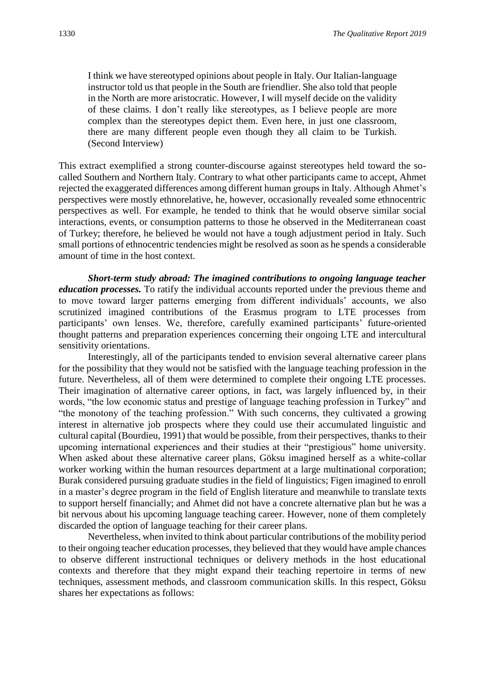I think we have stereotyped opinions about people in Italy. Our Italian-language instructor told us that people in the South are friendlier. She also told that people in the North are more aristocratic. However, I will myself decide on the validity of these claims. I don't really like stereotypes, as I believe people are more complex than the stereotypes depict them. Even here, in just one classroom, there are many different people even though they all claim to be Turkish. (Second Interview)

This extract exemplified a strong counter-discourse against stereotypes held toward the socalled Southern and Northern Italy. Contrary to what other participants came to accept, Ahmet rejected the exaggerated differences among different human groups in Italy. Although Ahmet's perspectives were mostly ethnorelative, he, however, occasionally revealed some ethnocentric perspectives as well. For example, he tended to think that he would observe similar social interactions, events, or consumption patterns to those he observed in the Mediterranean coast of Turkey; therefore, he believed he would not have a tough adjustment period in Italy. Such small portions of ethnocentric tendencies might be resolved as soon as he spends a considerable amount of time in the host context.

*Short-term study abroad: The imagined contributions to ongoing language teacher education processes.* To ratify the individual accounts reported under the previous theme and to move toward larger patterns emerging from different individuals' accounts, we also scrutinized imagined contributions of the Erasmus program to LTE processes from participants' own lenses. We, therefore, carefully examined participants' future-oriented thought patterns and preparation experiences concerning their ongoing LTE and intercultural sensitivity orientations.

Interestingly, all of the participants tended to envision several alternative career plans for the possibility that they would not be satisfied with the language teaching profession in the future. Nevertheless, all of them were determined to complete their ongoing LTE processes. Their imagination of alternative career options, in fact, was largely influenced by, in their words, "the low economic status and prestige of language teaching profession in Turkey" and "the monotony of the teaching profession." With such concerns, they cultivated a growing interest in alternative job prospects where they could use their accumulated linguistic and cultural capital (Bourdieu, 1991) that would be possible, from their perspectives, thanks to their upcoming international experiences and their studies at their "prestigious" home university. When asked about these alternative career plans, Göksu imagined herself as a white-collar worker working within the human resources department at a large multinational corporation; Burak considered pursuing graduate studies in the field of linguistics; Figen imagined to enroll in a master's degree program in the field of English literature and meanwhile to translate texts to support herself financially; and Ahmet did not have a concrete alternative plan but he was a bit nervous about his upcoming language teaching career. However, none of them completely discarded the option of language teaching for their career plans.

Nevertheless, when invited to think about particular contributions of the mobility period to their ongoing teacher education processes, they believed that they would have ample chances to observe different instructional techniques or delivery methods in the host educational contexts and therefore that they might expand their teaching repertoire in terms of new techniques, assessment methods, and classroom communication skills. In this respect, Göksu shares her expectations as follows: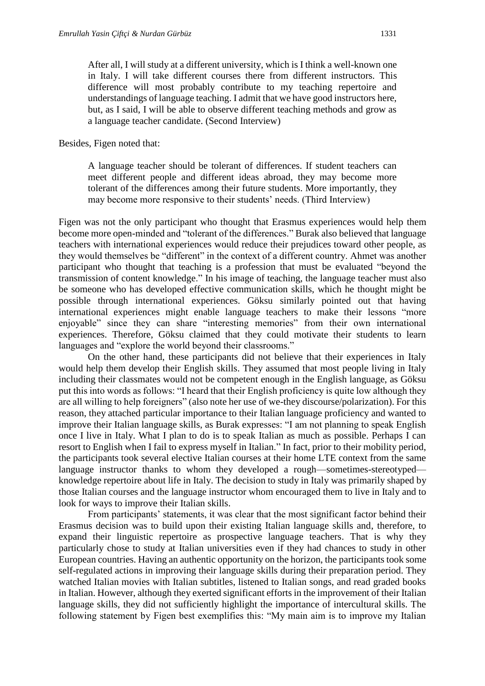After all, I will study at a different university, which is I think a well-known one in Italy. I will take different courses there from different instructors. This difference will most probably contribute to my teaching repertoire and understandings of language teaching. I admit that we have good instructors here, but, as I said, I will be able to observe different teaching methods and grow as a language teacher candidate. (Second Interview)

Besides, Figen noted that:

A language teacher should be tolerant of differences. If student teachers can meet different people and different ideas abroad, they may become more tolerant of the differences among their future students. More importantly, they may become more responsive to their students' needs. (Third Interview)

Figen was not the only participant who thought that Erasmus experiences would help them become more open-minded and "tolerant of the differences." Burak also believed that language teachers with international experiences would reduce their prejudices toward other people, as they would themselves be "different" in the context of a different country. Ahmet was another participant who thought that teaching is a profession that must be evaluated "beyond the transmission of content knowledge." In his image of teaching, the language teacher must also be someone who has developed effective communication skills, which he thought might be possible through international experiences. Göksu similarly pointed out that having international experiences might enable language teachers to make their lessons "more enjoyable" since they can share "interesting memories" from their own international experiences. Therefore, Göksu claimed that they could motivate their students to learn languages and "explore the world beyond their classrooms."

On the other hand, these participants did not believe that their experiences in Italy would help them develop their English skills. They assumed that most people living in Italy including their classmates would not be competent enough in the English language, as Göksu put this into words as follows: "I heard that their English proficiency is quite low although they are all willing to help foreigners" (also note her use of we-they discourse/polarization). For this reason, they attached particular importance to their Italian language proficiency and wanted to improve their Italian language skills, as Burak expresses: "I am not planning to speak English once I live in Italy. What I plan to do is to speak Italian as much as possible. Perhaps I can resort to English when I fail to express myself in Italian." In fact, prior to their mobility period, the participants took several elective Italian courses at their home LTE context from the same language instructor thanks to whom they developed a rough—sometimes-stereotyped knowledge repertoire about life in Italy. The decision to study in Italy was primarily shaped by those Italian courses and the language instructor whom encouraged them to live in Italy and to look for ways to improve their Italian skills.

From participants' statements, it was clear that the most significant factor behind their Erasmus decision was to build upon their existing Italian language skills and, therefore, to expand their linguistic repertoire as prospective language teachers. That is why they particularly chose to study at Italian universities even if they had chances to study in other European countries. Having an authentic opportunity on the horizon, the participants took some self-regulated actions in improving their language skills during their preparation period. They watched Italian movies with Italian subtitles, listened to Italian songs, and read graded books in Italian. However, although they exerted significant efforts in the improvement of their Italian language skills, they did not sufficiently highlight the importance of intercultural skills. The following statement by Figen best exemplifies this: "My main aim is to improve my Italian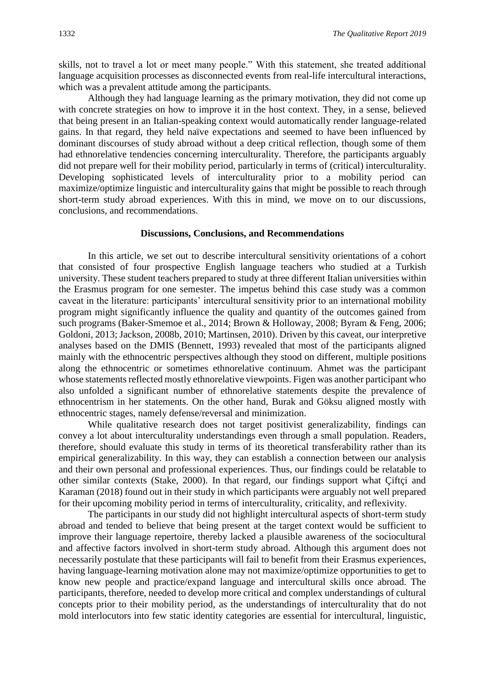skills, not to travel a lot or meet many people." With this statement, she treated additional language acquisition processes as disconnected events from real-life intercultural interactions, which was a prevalent attitude among the participants.

Although they had language learning as the primary motivation, they did not come up with concrete strategies on how to improve it in the host context. They, in a sense, believed that being present in an Italian-speaking context would automatically render language-related gains. In that regard, they held naïve expectations and seemed to have been influenced by dominant discourses of study abroad without a deep critical reflection, though some of them had ethnorelative tendencies concerning interculturality. Therefore, the participants arguably did not prepare well for their mobility period, particularly in terms of (critical) interculturality. Developing sophisticated levels of interculturality prior to a mobility period can maximize/optimize linguistic and interculturality gains that might be possible to reach through short-term study abroad experiences. With this in mind, we move on to our discussions, conclusions, and recommendations.

#### **Discussions, Conclusions, and Recommendations**

In this article, we set out to describe intercultural sensitivity orientations of a cohort that consisted of four prospective English language teachers who studied at a Turkish university. These student teachers prepared to study at three different Italian universities within the Erasmus program for one semester. The impetus behind this case study was a common caveat in the literature: participants' intercultural sensitivity prior to an international mobility program might significantly influence the quality and quantity of the outcomes gained from such programs (Baker-Smemoe et al., 2014; Brown & Holloway, 2008; Byram & Feng, 2006; Goldoni, 2013; Jackson, 2008b, 2010; Martinsen, 2010). Driven by this caveat, our interpretive analyses based on the DMIS (Bennett, 1993) revealed that most of the participants aligned mainly with the ethnocentric perspectives although they stood on different, multiple positions along the ethnocentric or sometimes ethnorelative continuum. Ahmet was the participant whose statements reflected mostly ethnorelative viewpoints. Figen was another participant who also unfolded a significant number of ethnorelative statements despite the prevalence of ethnocentrism in her statements. On the other hand, Burak and Göksu aligned mostly with ethnocentric stages, namely defense/reversal and minimization.

While qualitative research does not target positivist generalizability, findings can convey a lot about interculturality understandings even through a small population. Readers, therefore, should evaluate this study in terms of its theoretical transferability rather than its empirical generalizability. In this way, they can establish a connection between our analysis and their own personal and professional experiences. Thus, our findings could be relatable to other similar contexts (Stake, 2000). In that regard, our findings support what Çiftçi and Karaman (2018) found out in their study in which participants were arguably not well prepared for their upcoming mobility period in terms of interculturality, criticality, and reflexivity.

The participants in our study did not highlight intercultural aspects of short-term study abroad and tended to believe that being present at the target context would be sufficient to improve their language repertoire, thereby lacked a plausible awareness of the sociocultural and affective factors involved in short-term study abroad. Although this argument does not necessarily postulate that these participants will fail to benefit from their Erasmus experiences, having language-learning motivation alone may not maximize/optimize opportunities to get to know new people and practice/expand language and intercultural skills once abroad. The participants, therefore, needed to develop more critical and complex understandings of cultural concepts prior to their mobility period, as the understandings of interculturality that do not mold interlocutors into few static identity categories are essential for intercultural, linguistic,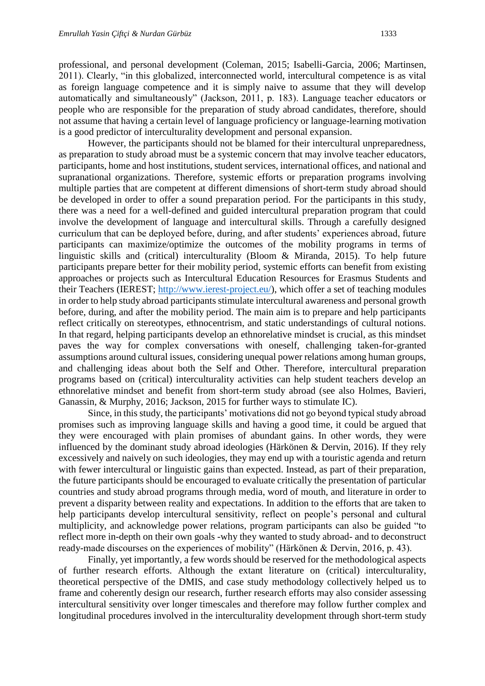professional, and personal development (Coleman, 2015; Isabelli-Garcia, 2006; Martinsen, 2011). Clearly, "in this globalized, interconnected world, intercultural competence is as vital as foreign language competence and it is simply naive to assume that they will develop automatically and simultaneously" (Jackson, 2011, p. 183). Language teacher educators or people who are responsible for the preparation of study abroad candidates, therefore, should not assume that having a certain level of language proficiency or language-learning motivation is a good predictor of interculturality development and personal expansion.

However, the participants should not be blamed for their intercultural unpreparedness, as preparation to study abroad must be a systemic concern that may involve teacher educators, participants, home and host institutions, student services, international offices, and national and supranational organizations. Therefore, systemic efforts or preparation programs involving multiple parties that are competent at different dimensions of short-term study abroad should be developed in order to offer a sound preparation period. For the participants in this study, there was a need for a well-defined and guided intercultural preparation program that could involve the development of language and intercultural skills. Through a carefully designed curriculum that can be deployed before, during, and after students' experiences abroad, future participants can maximize/optimize the outcomes of the mobility programs in terms of linguistic skills and (critical) interculturality (Bloom & Miranda, 2015). To help future participants prepare better for their mobility period, systemic efforts can benefit from existing approaches or projects such as Intercultural Education Resources for Erasmus Students and their Teachers (IEREST; [http://www.ierest-project.eu/\)](http://www.ierest-project.eu/), which offer a set of teaching modules in order to help study abroad participants stimulate intercultural awareness and personal growth before, during, and after the mobility period. The main aim is to prepare and help participants reflect critically on stereotypes, ethnocentrism, and static understandings of cultural notions. In that regard, helping participants develop an ethnorelative mindset is crucial, as this mindset paves the way for complex conversations with oneself, challenging taken-for-granted assumptions around cultural issues, considering unequal power relations among human groups, and challenging ideas about both the Self and Other. Therefore, intercultural preparation programs based on (critical) interculturality activities can help student teachers develop an ethnorelative mindset and benefit from short-term study abroad (see also Holmes, Bavieri, Ganassin, & Murphy, 2016; Jackson, 2015 for further ways to stimulate IC).

Since, in this study, the participants' motivations did not go beyond typical study abroad promises such as improving language skills and having a good time, it could be argued that they were encouraged with plain promises of abundant gains. In other words, they were influenced by the dominant study abroad ideologies (Härkönen & Dervin, 2016). If they rely excessively and naively on such ideologies, they may end up with a touristic agenda and return with fewer intercultural or linguistic gains than expected. Instead, as part of their preparation, the future participants should be encouraged to evaluate critically the presentation of particular countries and study abroad programs through media, word of mouth, and literature in order to prevent a disparity between reality and expectations. In addition to the efforts that are taken to help participants develop intercultural sensitivity, reflect on people's personal and cultural multiplicity, and acknowledge power relations, program participants can also be guided "to reflect more in-depth on their own goals -why they wanted to study abroad- and to deconstruct ready-made discourses on the experiences of mobility" (Härkönen & Dervin, 2016, p. 43).

Finally, yet importantly, a few words should be reserved for the methodological aspects of further research efforts. Although the extant literature on (critical) interculturality, theoretical perspective of the DMIS, and case study methodology collectively helped us to frame and coherently design our research, further research efforts may also consider assessing intercultural sensitivity over longer timescales and therefore may follow further complex and longitudinal procedures involved in the interculturality development through short-term study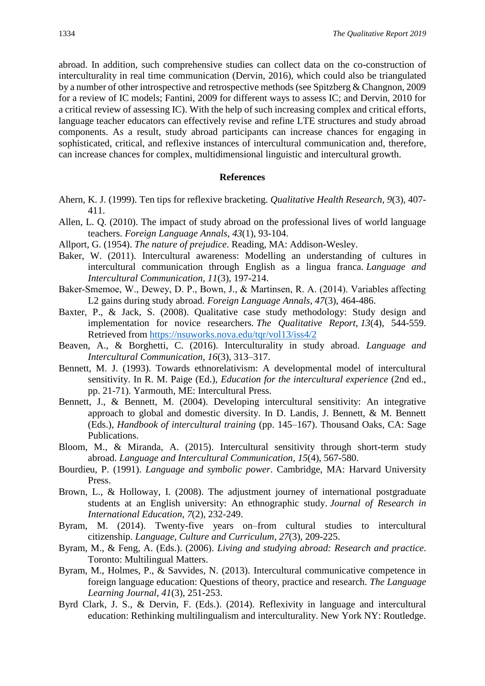abroad. In addition, such comprehensive studies can collect data on the co-construction of interculturality in real time communication (Dervin, 2016), which could also be triangulated by a number of other introspective and retrospective methods (see Spitzberg & Changnon, 2009 for a review of IC models; Fantini, 2009 for different ways to assess IC; and Dervin, 2010 for a critical review of assessing IC). With the help of such increasing complex and critical efforts, language teacher educators can effectively revise and refine LTE structures and study abroad components. As a result, study abroad participants can increase chances for engaging in sophisticated, critical, and reflexive instances of intercultural communication and, therefore, can increase chances for complex, multidimensional linguistic and intercultural growth.

#### **References**

- Ahern, K. J. (1999). Ten tips for reflexive bracketing. *Qualitative Health Research*, *9*(3), 407- 411.
- Allen, L. Q. (2010). The impact of study abroad on the professional lives of world language teachers. *Foreign Language Annals*, *43*(1), 93-104.
- Allport, G. (1954). *The nature of prejudice*. Reading, MA: Addison-Wesley.
- Baker, W. (2011). Intercultural awareness: Modelling an understanding of cultures in intercultural communication through English as a lingua franca. *Language and Intercultural Communication*, *11*(3), 197-214.
- Baker-Smemoe, W., Dewey, D. P., Bown, J., & Martinsen, R. A. (2014). Variables affecting L2 gains during study abroad. *Foreign Language Annals*, *47*(3), 464-486.
- Baxter, P., & Jack, S. (2008). Qualitative case study methodology: Study design and implementation for novice researchers. *The Qualitative Report*, *13*(4), 544-559. Retrieved from<https://nsuworks.nova.edu/tqr/vol13/iss4/2>
- Beaven, A., & Borghetti, C. (2016). Interculturality in study abroad. *Language and Intercultural Communication*, *16*(3), 313–317.
- Bennett, M. J. (1993). Towards ethnorelativism: A developmental model of intercultural sensitivity. In R. M. Paige (Ed.), *Education for the intercultural experience* (2nd ed., pp. 21-71). Yarmouth, ME: Intercultural Press.
- Bennett, J., & Bennett, M. (2004). Developing intercultural sensitivity: An integrative approach to global and domestic diversity. In D. Landis, J. Bennett, & M. Bennett (Eds.), *Handbook of intercultural training* (pp. 145–167). Thousand Oaks, CA: Sage Publications.
- Bloom, M., & Miranda, A. (2015). Intercultural sensitivity through short-term study abroad. *Language and Intercultural Communication*, *15*(4), 567-580.
- Bourdieu, P. (1991). *Language and symbolic power*. Cambridge, MA: Harvard University Press.
- Brown, L., & Holloway, I. (2008). The adjustment journey of international postgraduate students at an English university: An ethnographic study. *Journal of Research in International Education*, *7*(2), 232-249.
- Byram, M. (2014). Twenty-five years on–from cultural studies to intercultural citizenship. *Language, Culture and Curriculum*, *27*(3), 209-225.
- Byram, M., & Feng, A. (Eds.). (2006). *Living and studying abroad: Research and practice*. Toronto: Multilingual Matters.
- Byram, M., Holmes, P., & Savvides, N. (2013). Intercultural communicative competence in foreign language education: Questions of theory, practice and research. *The Language Learning Journal*, *41*(3), 251-253.
- Byrd Clark, J. S., & Dervin, F. (Eds.). (2014). Reflexivity in language and intercultural education: Rethinking multilingualism and interculturality. New York NY: Routledge.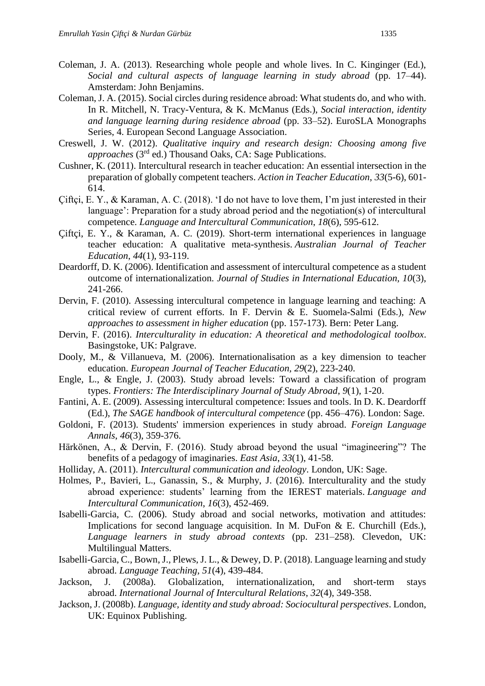- Coleman, J. A. (2013). Researching whole people and whole lives. In C. Kinginger (Ed.), *Social and cultural aspects of language learning in study abroad (pp. 17–44).* Amsterdam: John Benjamins.
- Coleman, J. A. (2015). Social circles during residence abroad: What students do, and who with. In R. Mitchell, N. Tracy-Ventura, & K. McManus (Eds.), *Social interaction, identity and language learning during residence abroad* (pp. 33–52). EuroSLA Monographs Series, 4. European Second Language Association.
- Creswell, J. W. (2012). *Qualitative inquiry and research design: Choosing among five approaches* (3rd ed.) Thousand Oaks, CA: Sage Publications.
- Cushner, K. (2011). Intercultural research in teacher education: An essential intersection in the preparation of globally competent teachers. *Action in Teacher Education*, *33*(5-6), 601- 614.
- Çiftçi, E. Y., & Karaman, A. C. (2018). 'I do not have to love them, I'm just interested in their language': Preparation for a study abroad period and the negotiation(s) of intercultural competence. *Language and Intercultural Communication*, *18*(6), 595-612.
- Çiftçi, E. Y., & Karaman, A. C. (2019). Short-term international experiences in language teacher education: A qualitative meta-synthesis. *Australian Journal of Teacher Education*, *44*(1), 93-119.
- Deardorff, D. K. (2006). Identification and assessment of intercultural competence as a student outcome of internationalization. *Journal of Studies in International Education, 10*(3), 241-266.
- Dervin, F. (2010). Assessing intercultural competence in language learning and teaching: A critical review of current efforts. In F. Dervin & E. Suomela-Salmi (Eds.), *New approaches to assessment in higher education* (pp. 157-173). Bern: Peter Lang.
- Dervin, F. (2016). *Interculturality in education: A theoretical and methodological toolbox*. Basingstoke, UK: Palgrave.
- Dooly, M., & Villanueva, M. (2006). Internationalisation as a key dimension to teacher education. *European Journal of Teacher Education, 29*(2), 223-240.
- Engle, L., & Engle, J. (2003). Study abroad levels: Toward a classification of program types. *Frontiers: The Interdisciplinary Journal of Study Abroad*, *9*(1), 1-20.
- Fantini, A. E. (2009). Assessing intercultural competence: Issues and tools. In D. K. Deardorff (Ed.), *The SAGE handbook of intercultural competence* (pp. 456–476). London: Sage.
- Goldoni, F. (2013). Students' immersion experiences in study abroad. *Foreign Language Annals*, *46*(3), 359-376.

Härkönen, A., & Dervin, F. (2016). Study abroad beyond the usual "imagineering"? The benefits of a pedagogy of imaginaries. *East Asia*, *33*(1), 41-58.

- Holliday, A. (2011). *Intercultural communication and ideology*. London, UK: Sage.
- Holmes, P., Bavieri, L., Ganassin, S., & Murphy, J. (2016). Interculturality and the study abroad experience: students' learning from the IEREST materials. *Language and Intercultural Communication*, *16*(3), 452-469.
- Isabelli-Garcia, C. (2006). Study abroad and social networks, motivation and attitudes: Implications for second language acquisition. In M. DuFon & E. Churchill (Eds.), *Language learners in study abroad contexts* (pp. 231–258). Clevedon, UK: Multilingual Matters.
- Isabelli-Garcia, C., Bown, J., Plews, J. L., & Dewey, D. P. (2018). Language learning and study abroad. *Language Teaching*, *51*(4), 439-484.
- Jackson, J. (2008a). Globalization, internationalization, and short-term stays abroad. *International Journal of Intercultural Relations*, *32*(4), 349-358.
- Jackson, J. (2008b). *Language, identity and study abroad: Sociocultural perspectives*. London, UK: Equinox Publishing.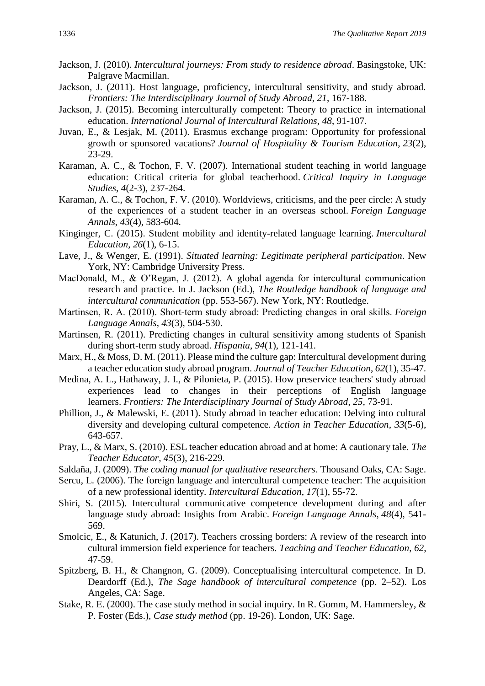- Jackson, J. (2010). *Intercultural journeys: From study to residence abroad*. Basingstoke, UK: Palgrave Macmillan.
- Jackson, J. (2011). Host language, proficiency, intercultural sensitivity, and study abroad. *Frontiers: The Interdisciplinary Journal of Study Abroad*, *21*, 167-188.
- Jackson, J. (2015). Becoming interculturally competent: Theory to practice in international education. *International Journal of Intercultural Relations*, *48*, 91-107.
- Juvan, E., & Lesjak, M. (2011). Erasmus exchange program: Opportunity for professional growth or sponsored vacations? *Journal of Hospitality & Tourism Education*, *23*(2), 23-29.
- Karaman, A. C., & Tochon, F. V. (2007). International student teaching in world language education: Critical criteria for global teacherhood. *Critical Inquiry in Language Studies*, *4*(2-3), 237-264.
- Karaman, A. C., & Tochon, F. V. (2010). Worldviews, criticisms, and the peer circle: A study of the experiences of a student teacher in an overseas school. *Foreign Language Annals*, *43*(4), 583-604.
- Kinginger, C. (2015). Student mobility and identity-related language learning. *Intercultural Education*, *26*(1), 6-15.
- Lave, J., & Wenger, E. (1991). *Situated learning: Legitimate peripheral participation*. New York, NY: Cambridge University Press.
- MacDonald, M., & O'Regan, J. (2012). A global agenda for intercultural communication research and practice. In J. Jackson (Ed.), *The Routledge handbook of language and intercultural communication* (pp. 553-567). New York, NY: Routledge.
- Martinsen, R. A. (2010). Short‐term study abroad: Predicting changes in oral skills. *Foreign Language Annals*, *43*(3), 504-530.
- Martinsen, R. (2011). Predicting changes in cultural sensitivity among students of Spanish during short-term study abroad. *Hispania*, *94*(1), 121-141.
- Marx, H., & Moss, D. M. (2011). Please mind the culture gap: Intercultural development during a teacher education study abroad program. *Journal of Teacher Education*, *62*(1), 35-47.
- Medina, A. L., Hathaway, J. I., & Pilonieta, P. (2015). How preservice teachers' study abroad experiences lead to changes in their perceptions of English language learners. *Frontiers: The Interdisciplinary Journal of Study Abroad*, *25*, 73-91.
- Phillion, J., & Malewski, E. (2011). Study abroad in teacher education: Delving into cultural diversity and developing cultural competence. *Action in Teacher Education*, *33*(5-6), 643-657.
- Pray, L., & Marx, S. (2010). ESL teacher education abroad and at home: A cautionary tale. *The Teacher Educator*, *45*(3), 216-229.
- Saldaña, J. (2009). *The coding manual for qualitative researchers*. Thousand Oaks, CA: Sage.
- Sercu, L. (2006). The foreign language and intercultural competence teacher: The acquisition of a new professional identity. *Intercultural Education*, *17*(1), 55-72.
- Shiri, S. (2015). Intercultural communicative competence development during and after language study abroad: Insights from Arabic. *Foreign Language Annals*, *48*(4), 541- 569.
- Smolcic, E., & Katunich, J. (2017). Teachers crossing borders: A review of the research into cultural immersion field experience for teachers. *Teaching and Teacher Education*, *62*, 47-59.
- Spitzberg, B. H., & Changnon, G. (2009). Conceptualising intercultural competence. In D. Deardorff (Ed.), *The Sage handbook of intercultural competence* (pp. 2–52). Los Angeles, CA: Sage.
- Stake, R. E. (2000). The case study method in social inquiry. In R. Gomm, M. Hammersley, & P. Foster (Eds.), *Case study method* (pp. 19-26). London, UK: Sage.